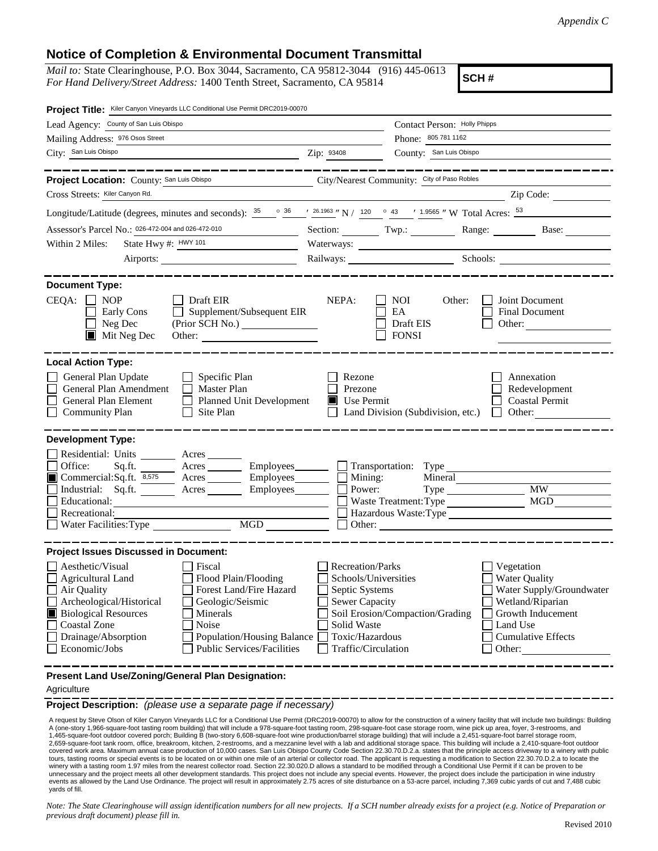## **Notice of Completion & Environmental Document Transmittal**

*Mail to:* State Clearinghouse, P.O. Box 3044, Sacramento, CA 95812-3044 (916) 445-0613 *For Hand Delivery/Street Address:* 1400 Tenth Street, Sacramento, CA 95814

**SCH #**

| Project Title: Kiler Canyon Vineyards LLC Conditional Use Permit DRC2019-00070                                                                                                                                                                                                                                                                                                                          |                                                                                                                                              |                                                          |                                                                                                                                                            |  |
|---------------------------------------------------------------------------------------------------------------------------------------------------------------------------------------------------------------------------------------------------------------------------------------------------------------------------------------------------------------------------------------------------------|----------------------------------------------------------------------------------------------------------------------------------------------|----------------------------------------------------------|------------------------------------------------------------------------------------------------------------------------------------------------------------|--|
| Lead Agency: County of San Luis Obispo                                                                                                                                                                                                                                                                                                                                                                  |                                                                                                                                              | Contact Person: Holly Phipps                             |                                                                                                                                                            |  |
| Mailing Address: 976 Osos Street                                                                                                                                                                                                                                                                                                                                                                        | Phone: 805 781 1162                                                                                                                          |                                                          |                                                                                                                                                            |  |
| City: San Luis Obispo                                                                                                                                                                                                                                                                                                                                                                                   | Zip: 93408                                                                                                                                   | County: San Luis Obispo                                  |                                                                                                                                                            |  |
|                                                                                                                                                                                                                                                                                                                                                                                                         |                                                                                                                                              |                                                          |                                                                                                                                                            |  |
| Project Location: County: San Luis Obispo                                                                                                                                                                                                                                                                                                                                                               |                                                                                                                                              | City/Nearest Community: City of Paso Robles              |                                                                                                                                                            |  |
| Cross Streets: Kiler Canyon Rd.                                                                                                                                                                                                                                                                                                                                                                         |                                                                                                                                              |                                                          | Zip Code:                                                                                                                                                  |  |
| Longitude/Latitude (degrees, minutes and seconds): $\frac{35}{26}$ $\frac{36}{26}$ $\frac{1}{26.1963}$ N / 120 $\degree$ 43 $\degree$ 1.9565 " W Total Acres: $\frac{53}{26}$                                                                                                                                                                                                                           |                                                                                                                                              |                                                          |                                                                                                                                                            |  |
| Assessor's Parcel No.: 026-472-004 and 026-472-010<br><u> 1990 - John Barn Barn, amerikansk politiker</u>                                                                                                                                                                                                                                                                                               |                                                                                                                                              |                                                          | Section: Twp.: Range: Base:                                                                                                                                |  |
| State Hwy #: HWY 101<br>Within 2 Miles:                                                                                                                                                                                                                                                                                                                                                                 |                                                                                                                                              | Waterways:                                               |                                                                                                                                                            |  |
|                                                                                                                                                                                                                                                                                                                                                                                                         |                                                                                                                                              |                                                          | Railways: Schools:                                                                                                                                         |  |
| <b>Document Type:</b><br>CEQA:<br><b>NOP</b><br>Draft EIR<br>Supplement/Subsequent EIR<br>Early Cons<br>Neg Dec<br>(Prior SCH No.)<br>$\blacksquare$ Mit Neg Dec<br>Other:                                                                                                                                                                                                                              | NEPA:                                                                                                                                        | <b>NOI</b><br>Other:<br>EA<br>Draft EIS<br><b>FONSI</b>  | Joint Document<br>Final Document<br>Other:                                                                                                                 |  |
| <b>Local Action Type:</b><br>General Plan Update<br>$\Box$ Specific Plan<br>General Plan Amendment<br>$\Box$ Master Plan<br>General Plan Element<br><b>Planned Unit Development</b><br>$\mathbf{I}$<br><b>Community Plan</b><br>Site Plan                                                                                                                                                               | Rezone<br>Prezone<br>$\blacksquare$ Use Permit                                                                                               | Land Division (Subdivision, etc.)                        | Annexation<br>Redevelopment<br><b>Coastal Permit</b><br>Other:                                                                                             |  |
| <b>Development Type:</b><br>Residential: Units ________ Acres ______<br>Office:<br>Sq.ft.<br>Acres <u>___________</u> Employees ________<br>Commercial:Sq.ft. 8,575 Acres Employees<br>Industrial: Sq.ft. _______ Acres ______<br>Employees________<br>Educational:<br>Recreational:<br>MGD MGD<br>Water Facilities: Type                                                                               | Mining:<br>Power:                                                                                                                            | Mineral<br>Waste Treatment: Type<br>Hazardous Waste:Type | <b>MW</b><br>MGD                                                                                                                                           |  |
| <b>Project Issues Discussed in Document:</b><br>Aesthetic/Visual<br>Fiscal<br>Flood Plain/Flooding<br>Agricultural Land<br>Air Quality<br>Forest Land/Fire Hazard<br>Archeological/Historical<br>Geologic/Seismic<br><b>Biological Resources</b><br>Minerals<br>Coastal Zone<br>Noise<br><b>Population/Housing Balance</b><br>Drainage/Absorption<br>Economic/Jobs<br><b>Public Services/Facilities</b> | Recreation/Parks<br>Schools/Universities<br>Septic Systems<br><b>Sewer Capacity</b><br>Solid Waste<br>Toxic/Hazardous<br>Traffic/Circulation | Soil Erosion/Compaction/Grading                          | Vegetation<br><b>Water Quality</b><br>Water Supply/Groundwater<br>Wetland/Riparian<br>Growth Inducement<br>Land Use<br><b>Cumulative Effects</b><br>Other: |  |
| Present Land Use/Zoning/General Plan Designation:                                                                                                                                                                                                                                                                                                                                                       |                                                                                                                                              |                                                          |                                                                                                                                                            |  |

## Agriculture

**Project Description:** *(please use a separate page if necessary)*

 A request by Steve Olson of Kiler Canyon Vineyards LLC for a Conditional Use Permit (DRC2019-00070) to allow for the construction of a winery facility that will include two buildings: Building A (one-story 1,966-square-foot tasting room building) that will include a 978-square-foot tasting room, 298-square-foot case storage room, wine pick up area, foyer, 3-restrooms, and 1,465-square-foot outdoor covered porch; Building B (two-story 6,608-square-foot wine production/barrel storage building) that will include a 2,451-square-foot barrel storage room,<br>2,659-square-foot tank room, office, brea covered work area. Maximum annual case production of 10,000 cases. San Luis Obispo County Code Section 22.30.70.D.2.a. states that the principle access driveway to a winery with public<br>tours, tasting rooms or special event winery with a tasting room 1.97 miles from the nearest collector road. Section 22.30.020.D allows a standard to be modified through a Conditional Use Permit if it can be proven to be unnecessary and the project meets all other development standards. This project does not include any special events. However, the project does include the participation in wine industry events as allowed by the Land Use Ordinance. The project will result in approximately 2.75 acres of site disturbance on a 53-acre parcel, including 7,369 cubic yards of cut and 7,488 cubic yards of fill.

*Note: The State Clearinghouse will assign identification numbers for all new projects. If a SCH number already exists for a project (e.g. Notice of Preparation or previous draft document) please fill in.*